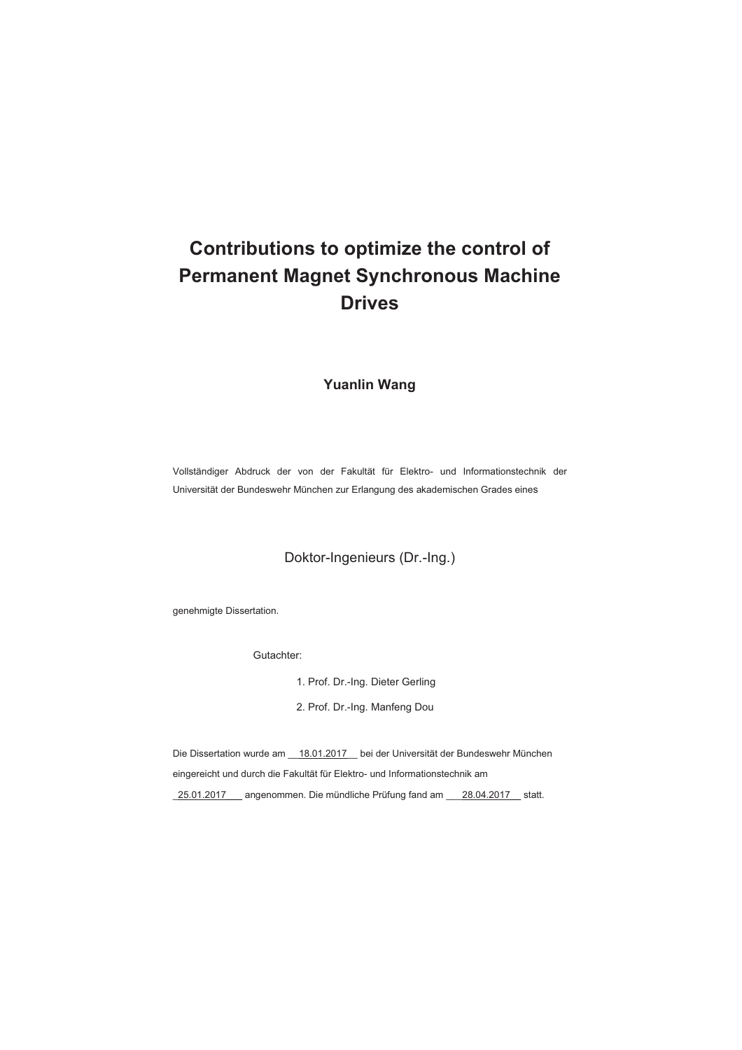# **Contributions to optimize the control of Permanent Magnet Synchronous Machine Drives**

**Yuanlin Wang**

Vollständiger Abdruck der von der Fakultät für Elektro- und Informationstechnik der Universität der Bundeswehr München zur Erlangung des akademischen Grades eines

Doktor-Ingenieurs (Dr.-Ing.)

genehmigte Dissertation.

Gutachter:

- 1. Prof. Dr.-Ing. Dieter Gerling
- 2. Prof. Dr.-Ing. Manfeng Dou

Die Dissertation wurde am \_\_18.01.2017\_\_ bei der Universität der Bundeswehr München eingereicht und durch die Fakultät für Elektro- und Informationstechnik am

\_25.01.2017\_\_\_ angenommen. Die mündliche Prüfung fand am \_\_\_28.04.2017\_\_ statt.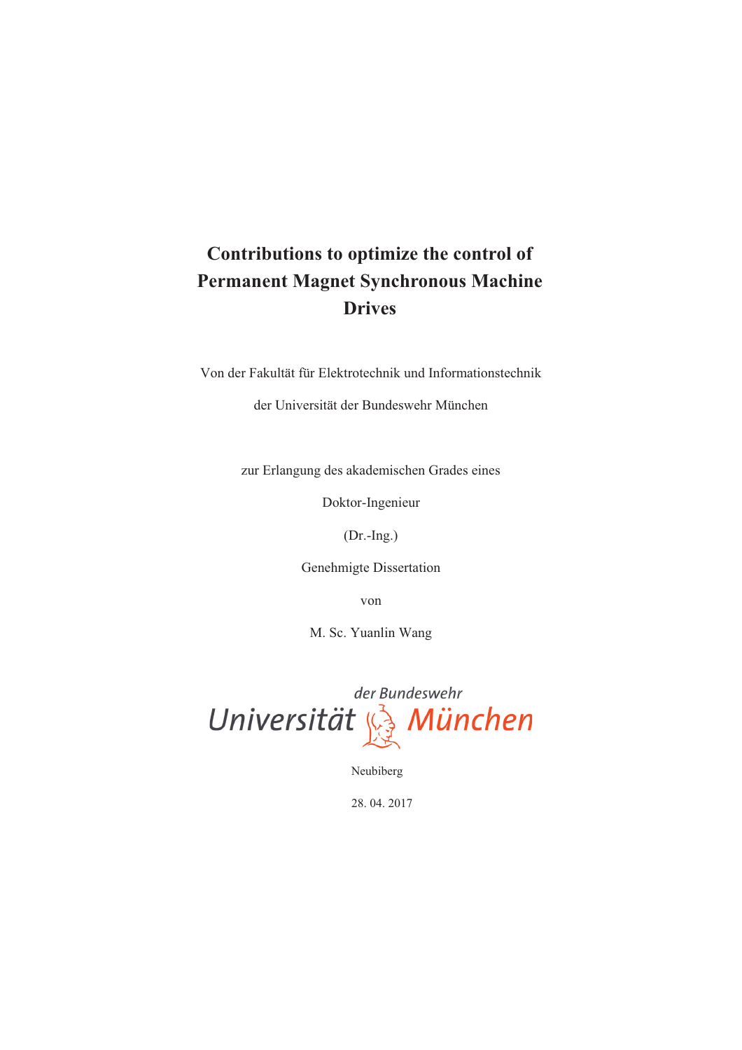# **Contributions to optimize the control of Permanent Magnet Synchronous Machine Drives**

Von der Fakultät für Elektrotechnik und Informationstechnik

der Universität der Bundeswehr München

zur Erlangung des akademischen Grades eines

Doktor-Ingenieur

(Dr.-Ing.)

Genehmigte Dissertation

von

M. Sc. Yuanlin Wang

der Bundeswehr Universität & München

Neubiberg

28. 04. 2017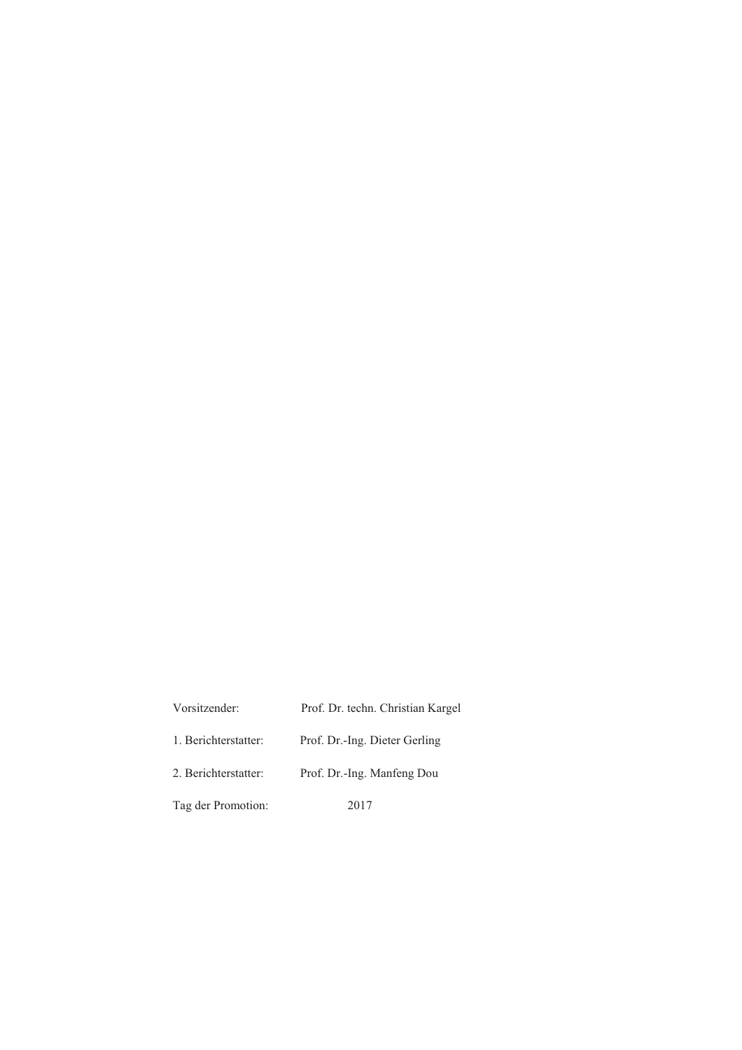| Vorsitzender:        | Prof. Dr. techn. Christian Kargel |
|----------------------|-----------------------------------|
| 1. Berichterstatter: | Prof. Dr.-Ing. Dieter Gerling     |
| 2. Berichterstatter: | Prof. Dr.-Ing. Manfeng Dou        |
| Tag der Promotion:   | 2017                              |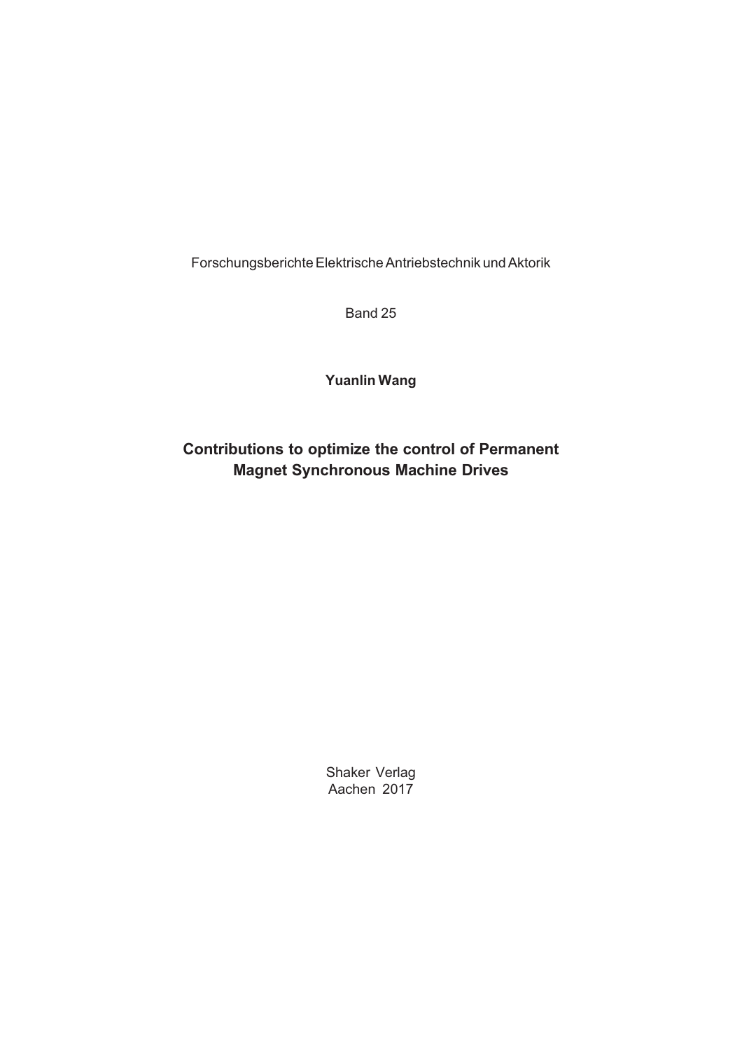Forschungsberichte Elektrische Antriebstechnik und Aktorik

Band 25

### **Yuanlin Wang**

## **Contributions to optimize the control of Permanent Magnet Synchronous Machine Drives**

Shaker Verlag Aachen 2017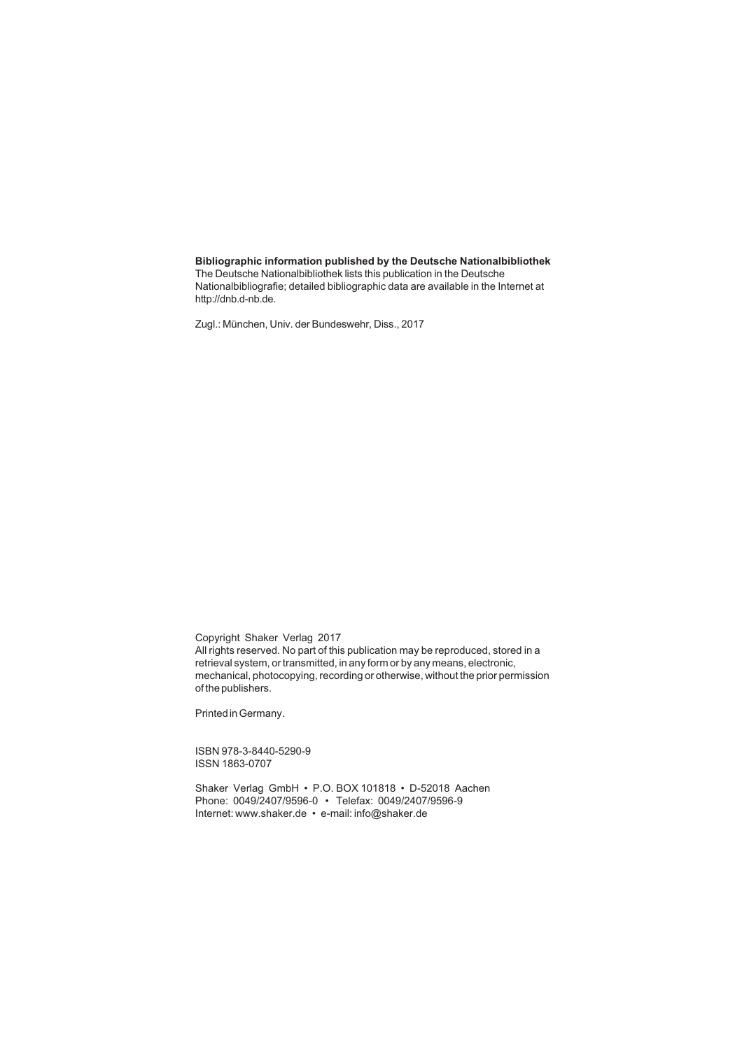#### **Bibliographic information published by the Deutsche Nationalbibliothek**

The Deutsche Nationalbibliothek lists this publication in the Deutsche Nationalbibliografie; detailed bibliographic data are available in the Internet at http://dnb.d-nb.de.

Zugl.: München, Univ. der Bundeswehr, Diss., 2017

Copyright Shaker Verlag 2017 All rights reserved. No part of this publication may be reproduced, stored in a retrieval system, or transmitted, in any form or by any means, electronic, mechanical, photocopying, recording or otherwise, without the prior permission of the publishers.

Printed in Germany.

ISBN 978-3-8440-5290-9 ISSN 1863-0707

Shaker Verlag GmbH • P.O. BOX 101818 • D-52018 Aachen Phone: 0049/2407/9596-0 • Telefax: 0049/2407/9596-9 Internet: www.shaker.de • e-mail: info@shaker.de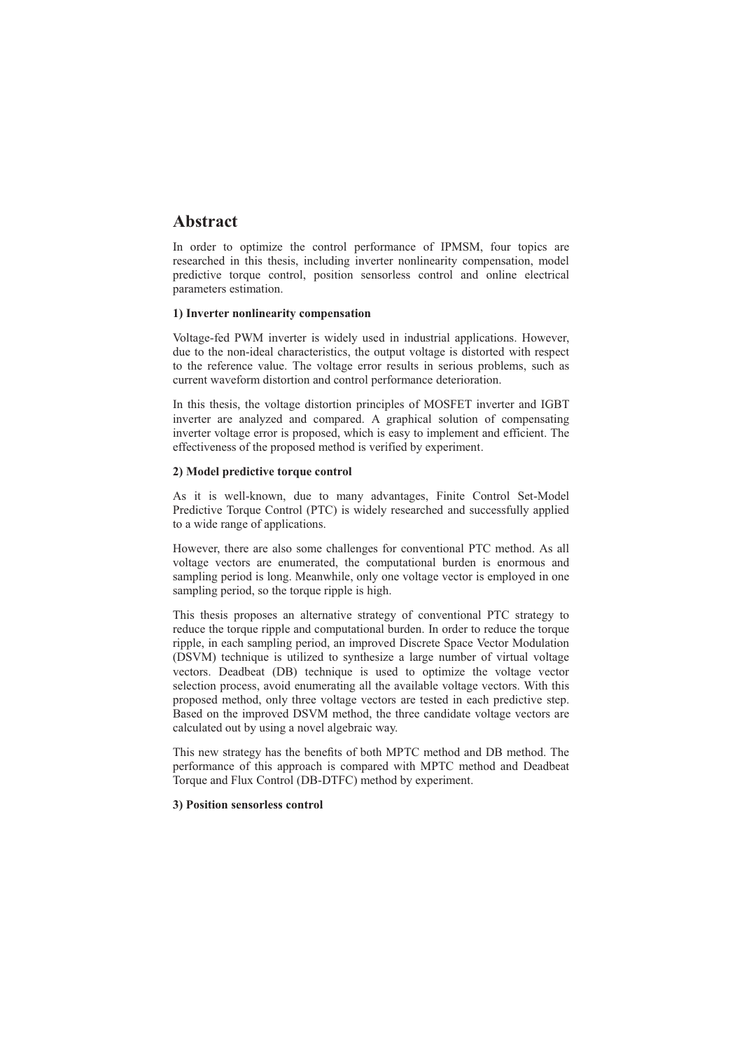## **Abstract**

In order to optimize the control performance of IPMSM, four topics are researched in this thesis, including inverter nonlinearity compensation, model predictive torque control, position sensorless control and online electrical parameters estimation.

#### **1) Inverter nonlinearity compensation**

Voltage-fed PWM inverter is widely used in industrial applications. However, due to the non-ideal characteristics, the output voltage is distorted with respect to the reference value. The voltage error results in serious problems, such as current waveform distortion and control performance deterioration.

In this thesis, the voltage distortion principles of MOSFET inverter and IGBT inverter are analyzed and compared. A graphical solution of compensating inverter voltage error is proposed, which is easy to implement and efficient. The effectiveness of the proposed method is verified by experiment.

#### **2) Model predictive torque control**

As it is well-known, due to many advantages, Finite Control Set-Model Predictive Torque Control (PTC) is widely researched and successfully applied to a wide range of applications.

However, there are also some challenges for conventional PTC method. As all voltage vectors are enumerated, the computational burden is enormous and sampling period is long. Meanwhile, only one voltage vector is employed in one sampling period, so the torque ripple is high.

This thesis proposes an alternative strategy of conventional PTC strategy to reduce the torque ripple and computational burden. In order to reduce the torque ripple, in each sampling period, an improved Discrete Space Vector Modulation (DSVM) technique is utilized to synthesize a large number of virtual voltage vectors. Deadbeat (DB) technique is used to optimize the voltage vector selection process, avoid enumerating all the available voltage vectors. With this proposed method, only three voltage vectors are tested in each predictive step. Based on the improved DSVM method, the three candidate voltage vectors are calculated out by using a novel algebraic way.

This new strategy has the benefits of both MPTC method and DB method. The performance of this approach is compared with MPTC method and Deadbeat Torque and Flux Control (DB-DTFC) method by experiment.

#### **3) Position sensorless control**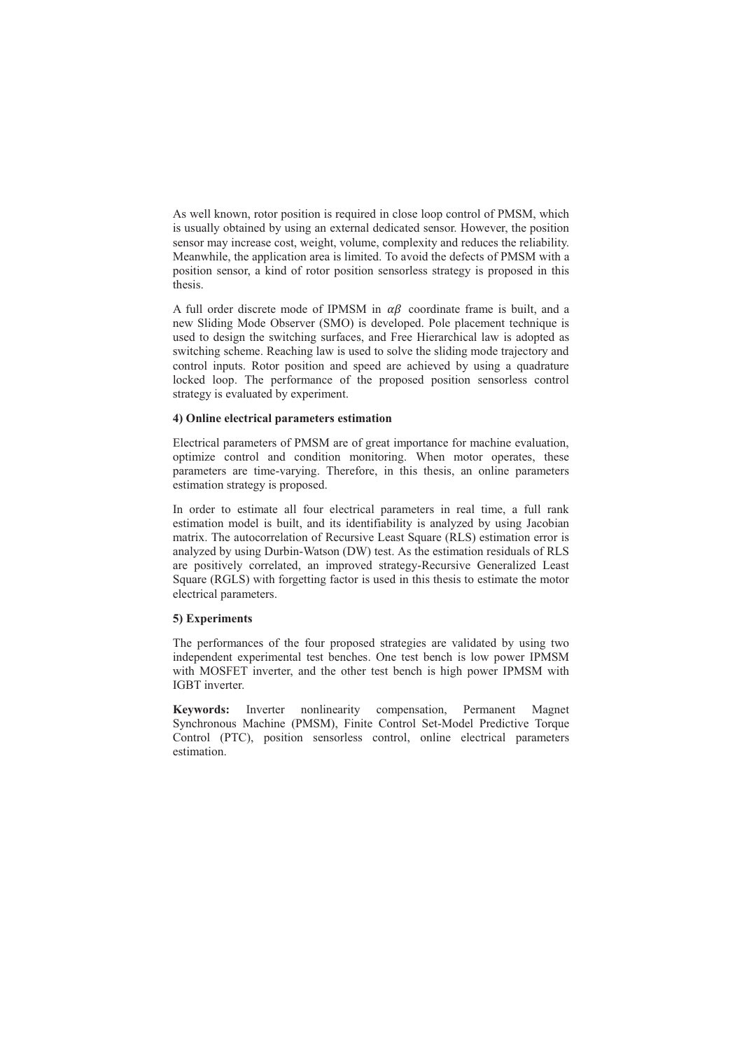As well known, rotor position is required in close loop control of PMSM, which is usually obtained by using an external dedicated sensor. However, the position sensor may increase cost, weight, volume, complexity and reduces the reliability. Meanwhile, the application area is limited. To avoid the defects of PMSM with a position sensor, a kind of rotor position sensorless strategy is proposed in this thesis.

A full order discrete mode of IPMSM in  $\alpha\beta$  coordinate frame is built, and a new Sliding Mode Observer (SMO) is developed. Pole placement technique is used to design the switching surfaces, and Free Hierarchical law is adopted as switching scheme. Reaching law is used to solve the sliding mode trajectory and control inputs. Rotor position and speed are achieved by using a quadrature locked loop. The performance of the proposed position sensorless control strategy is evaluated by experiment.

#### **4) Online electrical parameters estimation**

Electrical parameters of PMSM are of great importance for machine evaluation, optimize control and condition monitoring. When motor operates, these parameters are time-varying. Therefore, in this thesis, an online parameters estimation strategy is proposed.

In order to estimate all four electrical parameters in real time, a full rank estimation model is built, and its identifiability is analyzed by using Jacobian matrix. The autocorrelation of Recursive Least Square (RLS) estimation error is analyzed by using Durbin-Watson (DW) test. As the estimation residuals of RLS are positively correlated, an improved strategy-Recursive Generalized Least Square (RGLS) with forgetting factor is used in this thesis to estimate the motor electrical parameters.

#### **5) Experiments**

The performances of the four proposed strategies are validated by using two independent experimental test benches. One test bench is low power IPMSM with MOSFET inverter, and the other test bench is high power IPMSM with IGBT inverter.

**Keywords:** Inverter nonlinearity compensation, Permanent Magnet Synchronous Machine (PMSM), Finite Control Set-Model Predictive Torque Control (PTC), position sensorless control, online electrical parameters estimation.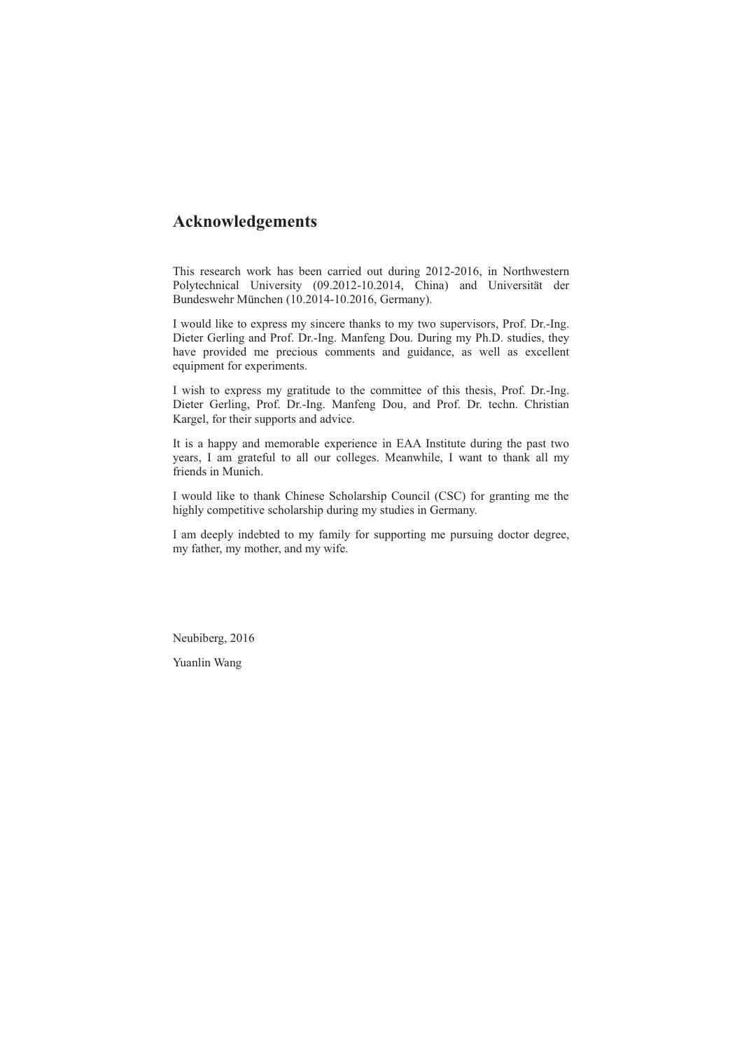### **Acknowledgements**

This research work has been carried out during 2012-2016, in Northwestern Polytechnical University (09.2012-10.2014, China) and Universität der Bundeswehr München (10.2014-10.2016, Germany).

I would like to express my sincere thanks to my two supervisors, Prof. Dr.-Ing. Dieter Gerling and Prof. Dr.-Ing. Manfeng Dou. During my Ph.D. studies, they have provided me precious comments and guidance, as well as excellent equipment for experiments.

I wish to express my gratitude to the committee of this thesis, Prof. Dr.-Ing. Dieter Gerling, Prof. Dr.-Ing. Manfeng Dou, and Prof. Dr. techn. Christian Kargel, for their supports and advice.

It is a happy and memorable experience in EAA Institute during the past two years, I am grateful to all our colleges. Meanwhile, I want to thank all my friends in Munich.

I would like to thank Chinese Scholarship Council (CSC) for granting me the highly competitive scholarship during my studies in Germany.

I am deeply indebted to my family for supporting me pursuing doctor degree, my father, my mother, and my wife.

Neubiberg, 2016

Yuanlin Wang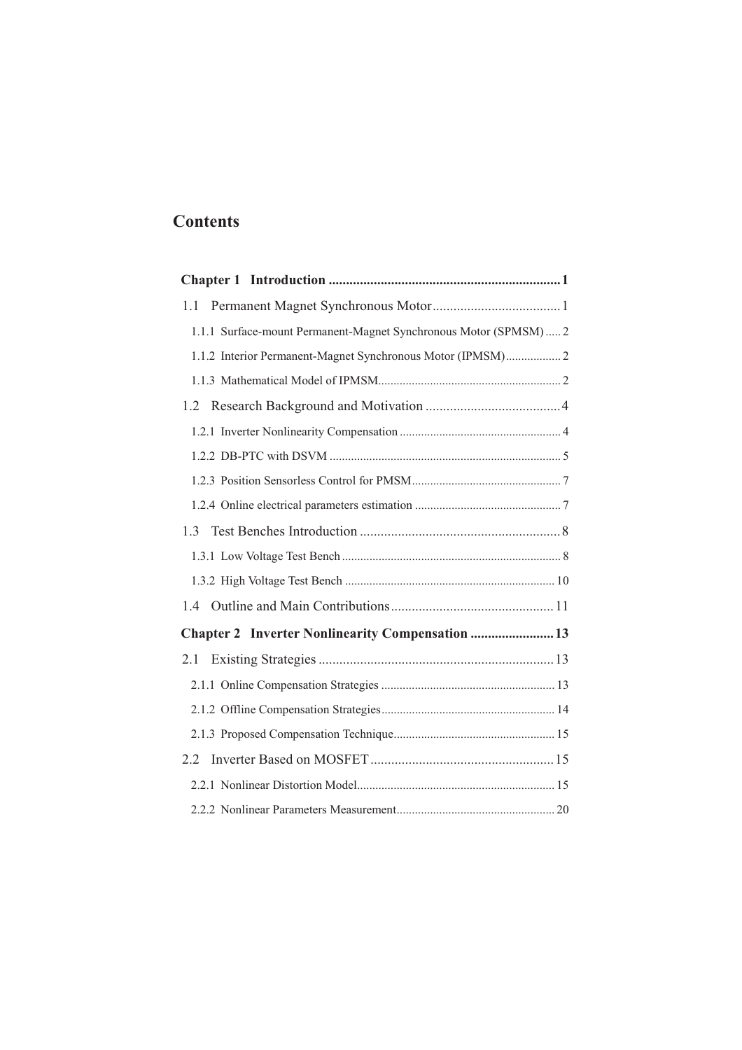## **Contents**

| 1.1                                                              |
|------------------------------------------------------------------|
| 1.1.1 Surface-mount Permanent-Magnet Synchronous Motor (SPMSM) 2 |
| 1.1.2 Interior Permanent-Magnet Synchronous Motor (IPMSM) 2      |
|                                                                  |
| 1.2                                                              |
|                                                                  |
|                                                                  |
|                                                                  |
|                                                                  |
| 1.3                                                              |
|                                                                  |
|                                                                  |
| 1.4                                                              |
| Chapter 2 Inverter Nonlinearity Compensation  13                 |
|                                                                  |
|                                                                  |
|                                                                  |
|                                                                  |
| 2.2                                                              |
|                                                                  |
|                                                                  |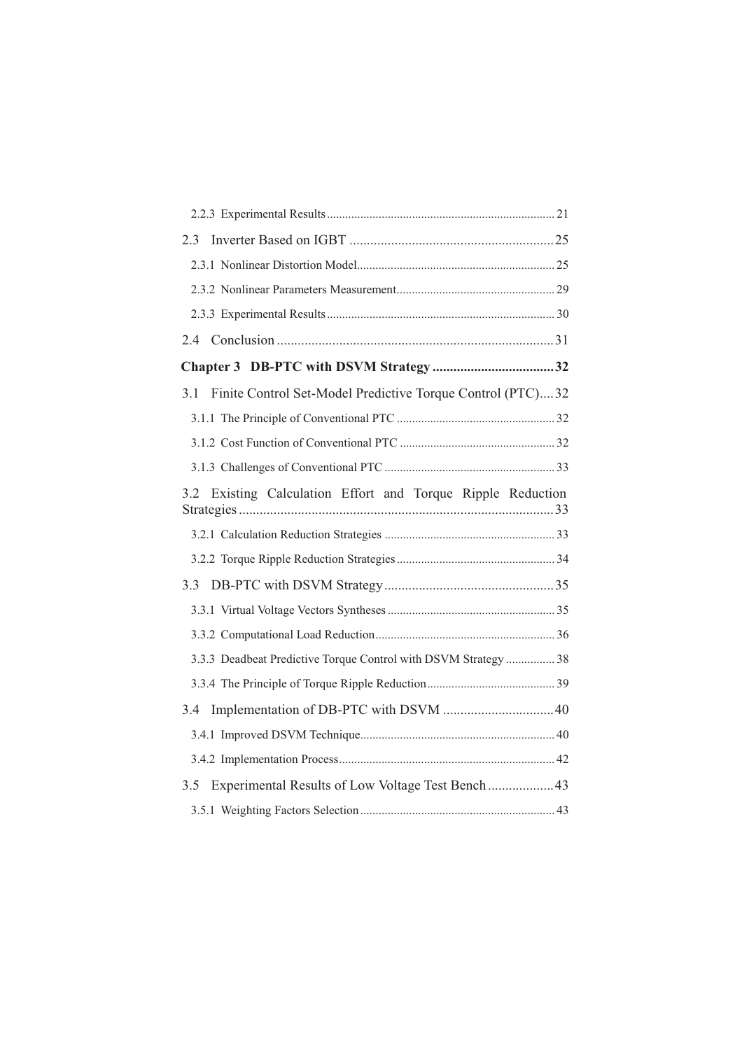| 2.3                                                               |  |
|-------------------------------------------------------------------|--|
|                                                                   |  |
|                                                                   |  |
|                                                                   |  |
|                                                                   |  |
|                                                                   |  |
| Finite Control Set-Model Predictive Torque Control (PTC)32<br>3.1 |  |
|                                                                   |  |
|                                                                   |  |
|                                                                   |  |
| Existing Calculation Effort and Torque Ripple Reduction<br>3.2    |  |
|                                                                   |  |
|                                                                   |  |
| 3.3                                                               |  |
|                                                                   |  |
|                                                                   |  |
| 3.3.3 Deadbeat Predictive Torque Control with DSVM Strategy  38   |  |
|                                                                   |  |
| 3.4                                                               |  |
|                                                                   |  |
|                                                                   |  |
|                                                                   |  |
| Experimental Results of Low Voltage Test Bench  43<br>3.5         |  |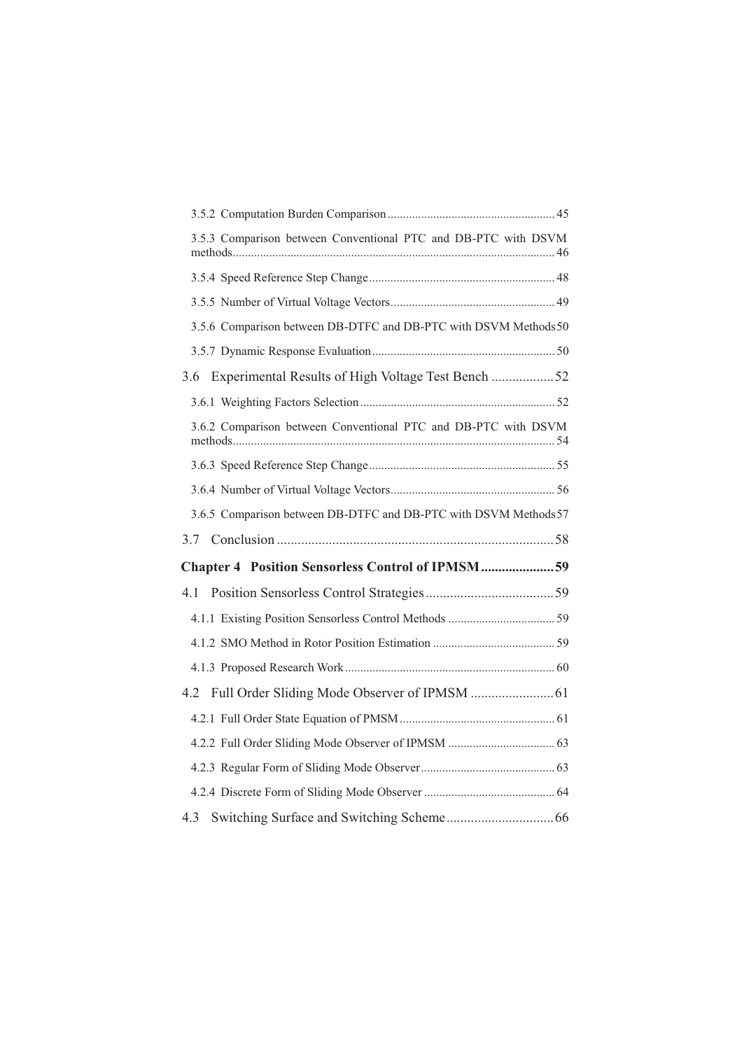|     | 3.5.3 Comparison between Conventional PTC and DB-PTC with DSVM   |  |
|-----|------------------------------------------------------------------|--|
|     |                                                                  |  |
|     |                                                                  |  |
|     | 3.5.6 Comparison between DB-DTFC and DB-PTC with DSVM Methods 50 |  |
|     |                                                                  |  |
| 3.6 | Experimental Results of High Voltage Test Bench 52               |  |
|     |                                                                  |  |
|     | 3.6.2 Comparison between Conventional PTC and DB-PTC with DSVM   |  |
|     |                                                                  |  |
|     |                                                                  |  |
|     | 3.6.5 Comparison between DB-DTFC and DB-PTC with DSVM Methods 57 |  |
|     |                                                                  |  |
|     | Chapter 4 Position Sensorless Control of IPMSM59                 |  |
|     |                                                                  |  |
|     |                                                                  |  |
|     |                                                                  |  |
|     |                                                                  |  |
|     |                                                                  |  |
|     |                                                                  |  |
|     |                                                                  |  |
|     |                                                                  |  |
|     |                                                                  |  |
|     |                                                                  |  |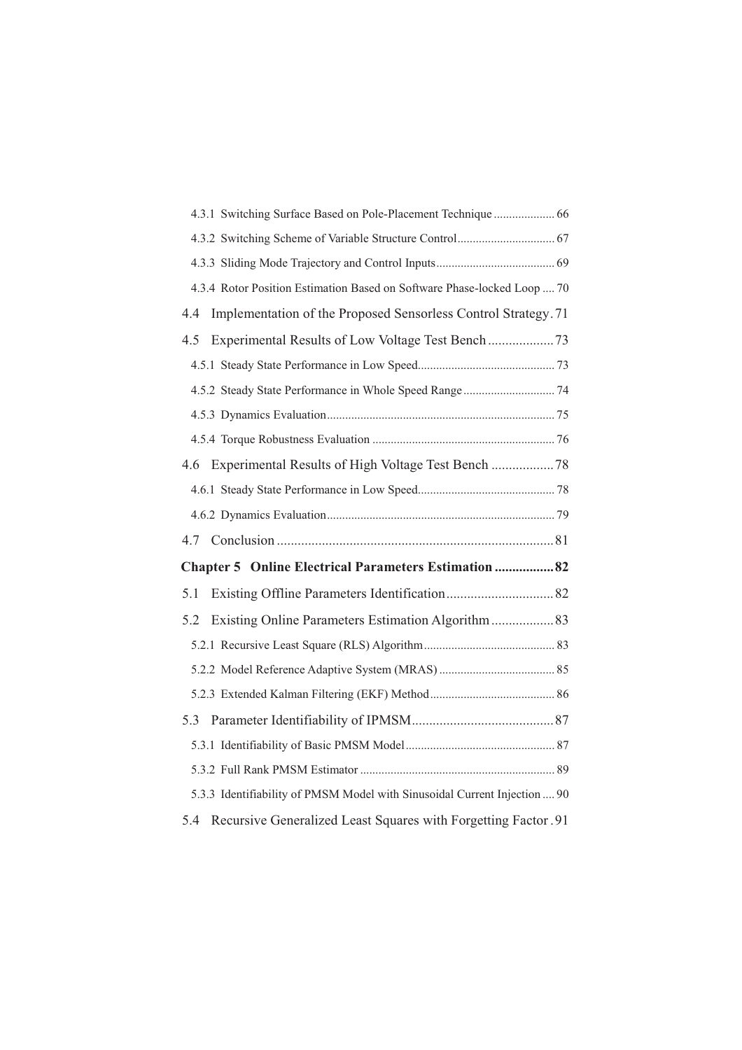|     | 4.3.1 Switching Surface Based on Pole-Placement Technique  66             |  |
|-----|---------------------------------------------------------------------------|--|
|     |                                                                           |  |
|     |                                                                           |  |
|     | 4.3.4 Rotor Position Estimation Based on Software Phase-locked Loop  70   |  |
| 4.4 | Implementation of the Proposed Sensorless Control Strategy. 71            |  |
| 4.5 |                                                                           |  |
|     |                                                                           |  |
|     |                                                                           |  |
|     |                                                                           |  |
|     |                                                                           |  |
|     |                                                                           |  |
|     |                                                                           |  |
|     |                                                                           |  |
|     |                                                                           |  |
|     | Chapter 5 Online Electrical Parameters Estimation  82                     |  |
| 5.1 |                                                                           |  |
| 5.2 |                                                                           |  |
|     |                                                                           |  |
|     |                                                                           |  |
|     |                                                                           |  |
|     |                                                                           |  |
|     |                                                                           |  |
|     |                                                                           |  |
|     | 5.3.3 Identifiability of PMSM Model with Sinusoidal Current Injection  90 |  |
|     | 5.4 Recursive Generalized Least Squares with Forgetting Factor .91        |  |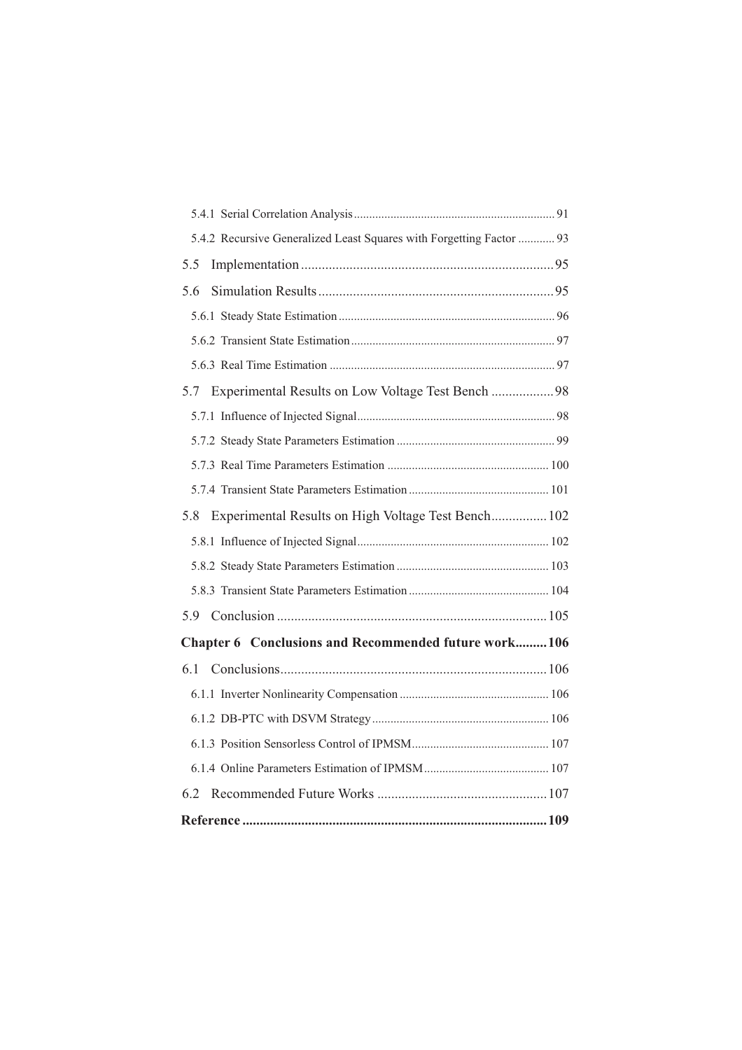| 5.4.2 Recursive Generalized Least Squares with Forgetting Factor  93 |
|----------------------------------------------------------------------|
| 5.5                                                                  |
| 5.6                                                                  |
|                                                                      |
|                                                                      |
|                                                                      |
| Experimental Results on Low Voltage Test Bench 98<br>5.7             |
|                                                                      |
|                                                                      |
|                                                                      |
|                                                                      |
| Experimental Results on High Voltage Test Bench 102<br>5.8           |
|                                                                      |
|                                                                      |
|                                                                      |
|                                                                      |
| Chapter 6 Conclusions and Recommended future work106                 |
|                                                                      |
|                                                                      |
|                                                                      |
|                                                                      |
|                                                                      |
| 6.2                                                                  |
|                                                                      |